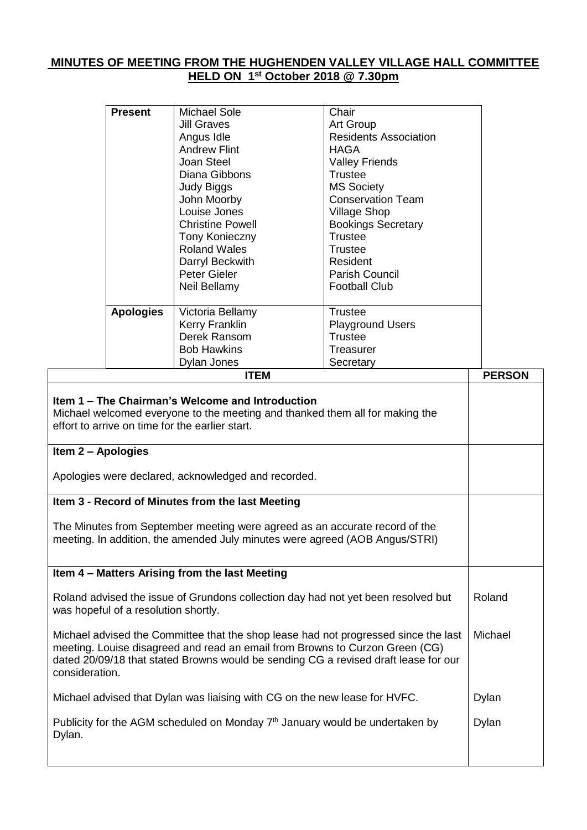# **MINUTES OF MEETING FROM THE HUGHENDEN VALLEY VILLAGE HALL COMMITTEE HELD ON 1 st October 2018 @ 7.30pm**

| <b>ITEM</b>      |                         |                              | <b>PERSON</b> |
|------------------|-------------------------|------------------------------|---------------|
|                  | Dylan Jones             | Secretary                    |               |
|                  | <b>Bob Hawkins</b>      | Treasurer                    |               |
|                  | Derek Ransom            | Trustee                      |               |
|                  | Kerry Franklin          | <b>Playground Users</b>      |               |
| <b>Apologies</b> | Victoria Bellamy        | Trustee                      |               |
|                  | Neil Bellamy            | <b>Football Club</b>         |               |
|                  | Peter Gieler            | <b>Parish Council</b>        |               |
|                  | Darryl Beckwith         | Resident                     |               |
|                  | <b>Roland Wales</b>     | <b>Trustee</b>               |               |
|                  | <b>Tony Konieczny</b>   | Trustee                      |               |
|                  | <b>Christine Powell</b> | <b>Bookings Secretary</b>    |               |
|                  | Louise Jones            | <b>Village Shop</b>          |               |
|                  | John Moorby             | <b>Conservation Team</b>     |               |
|                  | Judy Biggs              | <b>MS Society</b>            |               |
|                  | Diana Gibbons           | Trustee                      |               |
|                  | Joan Steel              | <b>Valley Friends</b>        |               |
|                  | <b>Andrew Flint</b>     | HAGA                         |               |
|                  | Angus Idle              | <b>Residents Association</b> |               |
|                  | <b>Jill Graves</b>      | Chair<br>Art Group           |               |

| Item 1 – The Chairman's Welcome and Introduction<br>Michael welcomed everyone to the meeting and thanked them all for making the<br>effort to arrive on time for the earlier start.                                                                                          |         |
|------------------------------------------------------------------------------------------------------------------------------------------------------------------------------------------------------------------------------------------------------------------------------|---------|
| Item 2 - Apologies                                                                                                                                                                                                                                                           |         |
| Apologies were declared, acknowledged and recorded.                                                                                                                                                                                                                          |         |
| Item 3 - Record of Minutes from the last Meeting                                                                                                                                                                                                                             |         |
| The Minutes from September meeting were agreed as an accurate record of the<br>meeting. In addition, the amended July minutes were agreed (AOB Angus/STRI)                                                                                                                   |         |
| Item 4 - Matters Arising from the last Meeting                                                                                                                                                                                                                               |         |
| Roland advised the issue of Grundons collection day had not yet been resolved but<br>was hopeful of a resolution shortly.                                                                                                                                                    | Roland  |
| Michael advised the Committee that the shop lease had not progressed since the last<br>meeting. Louise disagreed and read an email from Browns to Curzon Green (CG)<br>dated 20/09/18 that stated Browns would be sending CG a revised draft lease for our<br>consideration. | Michael |
| Michael advised that Dylan was liaising with CG on the new lease for HVFC.                                                                                                                                                                                                   | Dylan   |
| Publicity for the AGM scheduled on Monday $7th$ January would be undertaken by<br>Dylan.                                                                                                                                                                                     | Dylan   |
|                                                                                                                                                                                                                                                                              |         |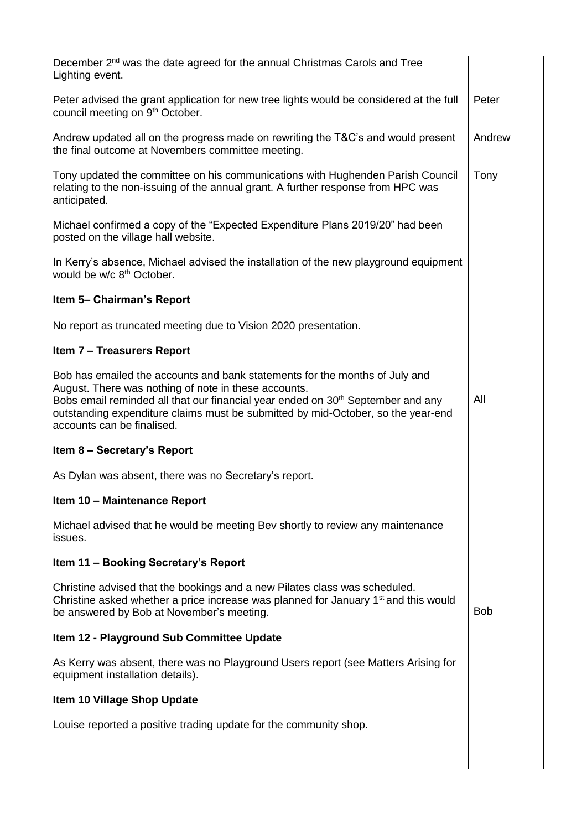| December 2 <sup>nd</sup> was the date agreed for the annual Christmas Carols and Tree<br>Lighting event.                                                                                                                                                                                                                                             |            |
|------------------------------------------------------------------------------------------------------------------------------------------------------------------------------------------------------------------------------------------------------------------------------------------------------------------------------------------------------|------------|
| Peter advised the grant application for new tree lights would be considered at the full<br>council meeting on 9 <sup>th</sup> October.                                                                                                                                                                                                               | Peter      |
| Andrew updated all on the progress made on rewriting the T&C's and would present<br>the final outcome at Novembers committee meeting.                                                                                                                                                                                                                | Andrew     |
| Tony updated the committee on his communications with Hughenden Parish Council<br>relating to the non-issuing of the annual grant. A further response from HPC was<br>anticipated.                                                                                                                                                                   | Tony       |
| Michael confirmed a copy of the "Expected Expenditure Plans 2019/20" had been<br>posted on the village hall website.                                                                                                                                                                                                                                 |            |
| In Kerry's absence, Michael advised the installation of the new playground equipment<br>would be w/c 8 <sup>th</sup> October.                                                                                                                                                                                                                        |            |
| Item 5- Chairman's Report                                                                                                                                                                                                                                                                                                                            |            |
| No report as truncated meeting due to Vision 2020 presentation.                                                                                                                                                                                                                                                                                      |            |
| <b>Item 7 - Treasurers Report</b>                                                                                                                                                                                                                                                                                                                    |            |
| Bob has emailed the accounts and bank statements for the months of July and<br>August. There was nothing of note in these accounts.<br>Bobs email reminded all that our financial year ended on 30 <sup>th</sup> September and any<br>outstanding expenditure claims must be submitted by mid-October, so the year-end<br>accounts can be finalised. | All        |
| Item 8 - Secretary's Report                                                                                                                                                                                                                                                                                                                          |            |
| As Dylan was absent, there was no Secretary's report.                                                                                                                                                                                                                                                                                                |            |
| Item 10 - Maintenance Report                                                                                                                                                                                                                                                                                                                         |            |
| Michael advised that he would be meeting Bev shortly to review any maintenance<br>issues.                                                                                                                                                                                                                                                            |            |
| Item 11 - Booking Secretary's Report                                                                                                                                                                                                                                                                                                                 |            |
| Christine advised that the bookings and a new Pilates class was scheduled.<br>Christine asked whether a price increase was planned for January 1 <sup>st</sup> and this would<br>be answered by Bob at November's meeting.                                                                                                                           | <b>Bob</b> |
| Item 12 - Playground Sub Committee Update                                                                                                                                                                                                                                                                                                            |            |
| As Kerry was absent, there was no Playground Users report (see Matters Arising for<br>equipment installation details).                                                                                                                                                                                                                               |            |
| Item 10 Village Shop Update                                                                                                                                                                                                                                                                                                                          |            |
| Louise reported a positive trading update for the community shop.                                                                                                                                                                                                                                                                                    |            |
|                                                                                                                                                                                                                                                                                                                                                      |            |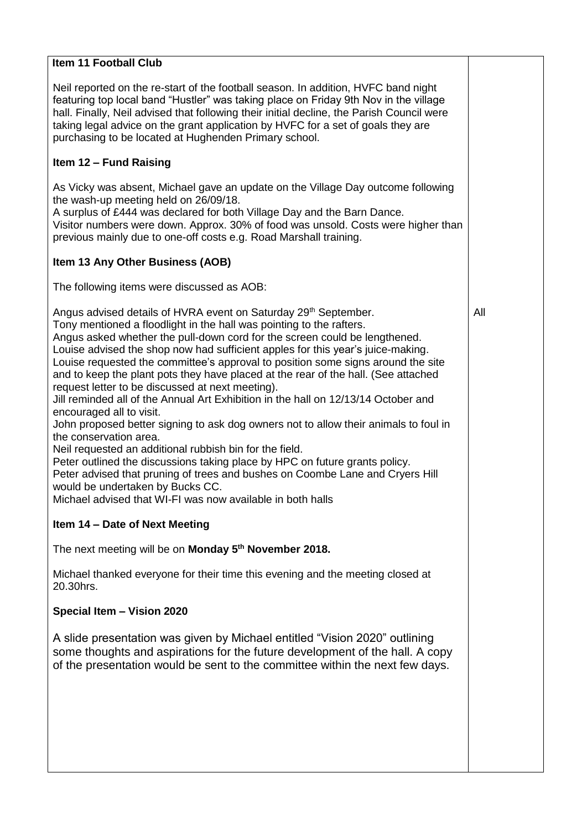### **Item 11 Football Club**

Neil reported on the re-start of the football season. In addition, HVFC band night featuring top local band "Hustler" was taking place on Friday 9th Nov in the village hall. Finally, Neil advised that following their initial decline, the Parish Council were taking legal advice on the grant application by HVFC for a set of goals they are purchasing to be located at Hughenden Primary school.

### **Item 12 – Fund Raising**

As Vicky was absent, Michael gave an update on the Village Day outcome following the wash-up meeting held on 26/09/18.

A surplus of £444 was declared for both Village Day and the Barn Dance.

Visitor numbers were down. Approx. 30% of food was unsold. Costs were higher than previous mainly due to one-off costs e.g. Road Marshall training.

### **Item 13 Any Other Business (AOB)**

The following items were discussed as AOB:

Angus advised details of HVRA event on Saturday 29<sup>th</sup> September.

Tony mentioned a floodlight in the hall was pointing to the rafters.

Angus asked whether the pull-down cord for the screen could be lengthened. Louise advised the shop now had sufficient apples for this year's juice-making.

Louise requested the committee's approval to position some signs around the site and to keep the plant pots they have placed at the rear of the hall. (See attached request letter to be discussed at next meeting).

Jill reminded all of the Annual Art Exhibition in the hall on 12/13/14 October and encouraged all to visit.

John proposed better signing to ask dog owners not to allow their animals to foul in the conservation area.

Neil requested an additional rubbish bin for the field.

Peter outlined the discussions taking place by HPC on future grants policy.

Peter advised that pruning of trees and bushes on Coombe Lane and Cryers Hill would be undertaken by Bucks CC.

Michael advised that WI-FI was now available in both halls

# **Item 14 – Date of Next Meeting**

The next meeting will be on **Monday 5 th November 2018.**

Michael thanked everyone for their time this evening and the meeting closed at 20.30hrs.

#### **Special Item – Vision 2020**

A slide presentation was given by Michael entitled "Vision 2020" outlining some thoughts and aspirations for the future development of the hall. A copy of the presentation would be sent to the committee within the next few days.